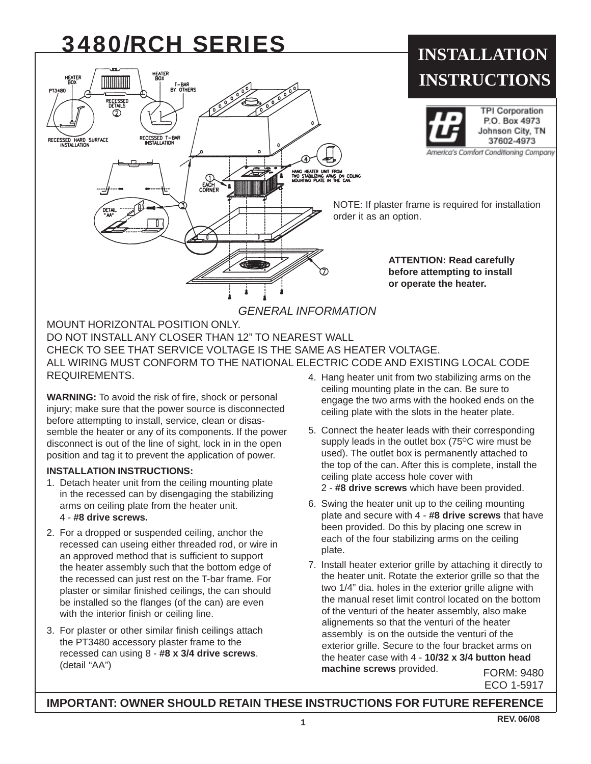# 3480/RCH SERIES



MOUNT HORIZONTAL POSITION ONLY. DO NOT INSTALL ANY CLOSER THAN 12" TO NEAREST WALL CHECK TO SEE THAT SERVICE VOLTAGE IS THE SAME AS HEATER VOLTAGE. ALL WIRING MUST CONFORM TO THE NATIONAL ELECTRIC CODE AND EXISTING LOCAL CODE REQUIREMENTS. 4. Hang heater unit from two stabilizing arms on the

**WARNING:** To avoid the risk of fire, shock or personal injury; make sure that the power source is disconnected before attempting to install, service, clean or disassemble the heater or any of its components. If the power disconnect is out of the line of sight, lock in in the open position and tag it to prevent the application of power.

### **INSTALLATION INSTRUCTIONS:**

- 1. Detach heater unit from the ceiling mounting plate in the recessed can by disengaging the stabilizing arms on ceiling plate from the heater unit. 4 - **#8 drive screws.**
- 2. For a dropped or suspended ceiling, anchor the recessed can useing either threaded rod, or wire in an approved method that is sufficient to support the heater assembly such that the bottom edge of the recessed can just rest on the T-bar frame. For plaster or similar finished ceilings, the can should be installed so the flanges (of the can) are even with the interior finish or ceiling line.
- 3. For plaster or other similar finish ceilings attach the PT3480 accessory plaster frame to the recessed can using 8 - **#8 x 3/4 drive screws**. (detail "AA")
- ceiling mounting plate in the can. Be sure to engage the two arms with the hooked ends on the ceiling plate with the slots in the heater plate.
- 5. Connect the heater leads with their corresponding supply leads in the outlet box  $(75^{\circ}C)$  wire must be used). The outlet box is permanently attached to the top of the can. After this is complete, install the ceiling plate access hole cover with
	- 2 **#8 drive screws** which have been provided.
- 6. Swing the heater unit up to the ceiling mounting plate and secure with 4 - **#8 drive screws** that have been provided. Do this by placing one screw in each of the four stabilizing arms on the ceiling plate.
- FORM: 9480 7. Install heater exterior grille by attaching it directly to the heater unit. Rotate the exterior grille so that the two 1/4" dia. holes in the exterior grille aligne with the manual reset limit control located on the bottom of the venturi of the heater assembly, also make alignements so that the venturi of the heater assembly is on the outside the venturi of the exterior grille. Secure to the four bracket arms on the heater case with 4 - **10/32 x 3/4 button head machine screws** provided.

ECO 1-5917

## **IMPORTANT: OWNER SHOULD RETAIN THESE INSTRUCTIONS FOR FUTURE REFERENCE**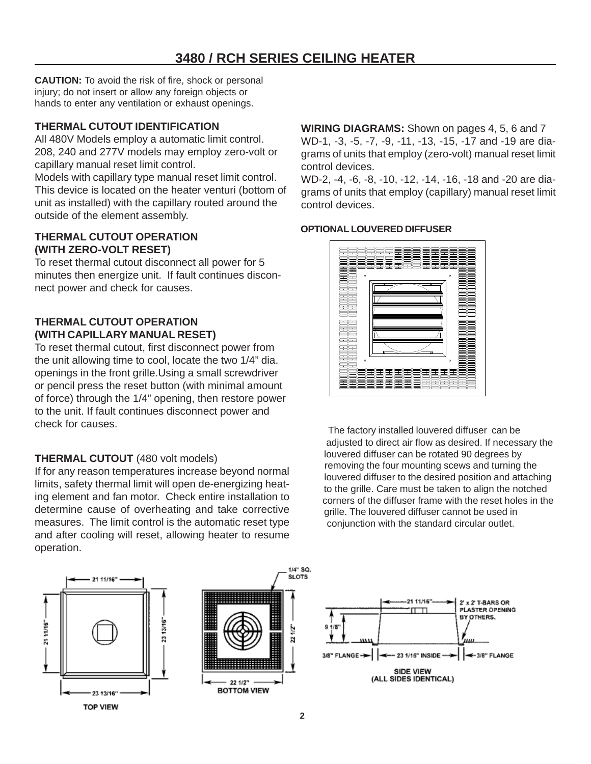**CAUTION:** To avoid the risk of fire, shock or personal injury; do not insert or allow any foreign objects or hands to enter any ventilation or exhaust openings.

## **THERMAL CUTOUT IDENTIFICATION**

All 480V Models employ a automatic limit control. 208, 240 and 277V models may employ zero-volt or capillary manual reset limit control.

Models with capillary type manual reset limit control. This device is located on the heater venturi (bottom of unit as installed) with the capillary routed around the outside of the element assembly.

## **THERMAL CUTOUT OPERATION (WITH ZERO-VOLT RESET)**

To reset thermal cutout disconnect all power for 5 minutes then energize unit. If fault continues disconnect power and check for causes.

## **THERMAL CUTOUT OPERATION (WITH CAPILLARY MANUAL RESET)**

To reset thermal cutout, first disconnect power from the unit allowing time to cool, locate the two 1/4" dia. openings in the front grille.Using a small screwdriver or pencil press the reset button (with minimal amount of force) through the 1/4" opening, then restore power to the unit. If fault continues disconnect power and check for causes.

# **THERMAL CUTOUT** (480 volt models)

If for any reason temperatures increase beyond normal limits, safety thermal limit will open de-energizing heating element and fan motor. Check entire installation to determine cause of overheating and take corrective measures. The limit control is the automatic reset type and after cooling will reset, allowing heater to resume operation.

11/16 23 13/16 2111/16"

> 23 13/16 **TOP VIEW**



**WIRING DIAGRAMS:** Shown on pages 4, 5, 6 and 7 WD-1, -3, -5, -7, -9, -11, -13, -15, -17 and -19 are diagrams of units that employ (zero-volt) manual reset limit control devices.

WD-2, -4, -6, -8, -10, -12, -14, -16, -18 and -20 are diagrams of units that employ (capillary) manual reset limit control devices.

### **OPTIONAL LOUVERED DIFFUSER**



 The factory installed louvered diffuser can be adjusted to direct air flow as desired. If necessary the louvered diffuser can be rotated 90 degrees by removing the four mounting scews and turning the louvered diffuser to the desired position and attaching to the grille. Care must be taken to align the notched corners of the diffuser frame with the reset holes in the grille. The louvered diffuser cannot be used in conjunction with the standard circular outlet.



1/4" SQ. SLOTS.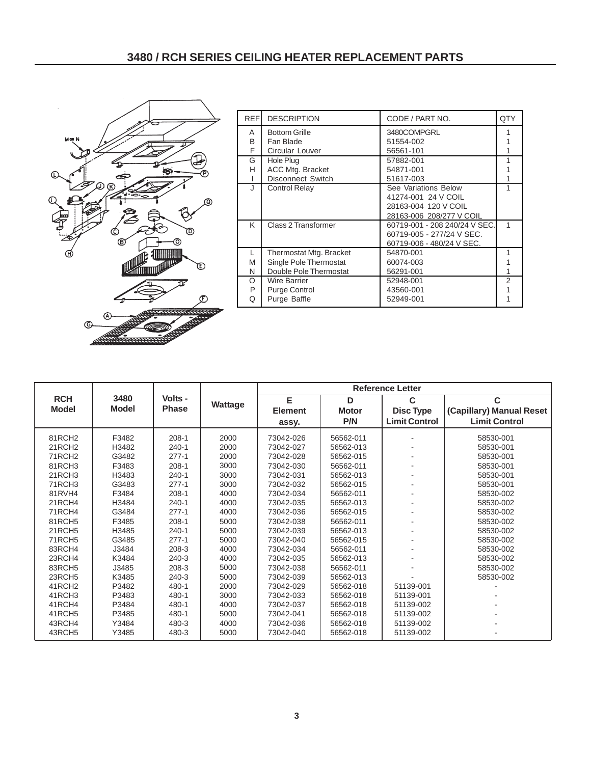

|                    | 3480         | Volts -      | Wattage | <b>Reference Letter</b> |              |                      |                          |
|--------------------|--------------|--------------|---------|-------------------------|--------------|----------------------|--------------------------|
| <b>RCH</b>         |              |              |         | E                       | D            | C                    | C                        |
| <b>Model</b>       | <b>Model</b> | <b>Phase</b> |         | <b>Element</b>          | <b>Motor</b> | <b>Disc Type</b>     | (Capillary) Manual Reset |
|                    |              |              |         | assy.                   | P/N          | <b>Limit Control</b> | <b>Limit Control</b>     |
| 81RCH <sub>2</sub> | F3482        | $208-1$      | 2000    | 73042-026               | 56562-011    |                      | 58530-001                |
| 21RCH <sub>2</sub> | H3482        | $240 - 1$    | 2000    | 73042-027               | 56562-013    |                      | 58530-001                |
| 71RCH <sub>2</sub> | G3482        | $277 - 1$    | 2000    | 73042-028               | 56562-015    |                      | 58530-001                |
| 81RCH3             | F3483        | $208-1$      | 3000    | 73042-030               | 56562-011    |                      | 58530-001                |
| 21RCH3             | H3483        | $240 - 1$    | 3000    | 73042-031               | 56562-013    |                      | 58530-001                |
| 71RCH3             | G3483        | $277 - 1$    | 3000    | 73042-032               | 56562-015    |                      | 58530-001                |
| 81RVH4             | F3484        | $208 - 1$    | 4000    | 73042-034               | 56562-011    |                      | 58530-002                |
| 21RCH4             | H3484        | $240 - 1$    | 4000    | 73042-035               | 56562-013    |                      | 58530-002                |
| 71RCH4             | G3484        | $277 - 1$    | 4000    | 73042-036               | 56562-015    |                      | 58530-002                |
| 81RCH5             | F3485        | $208 - 1$    | 5000    | 73042-038               | 56562-011    |                      | 58530-002                |
| 21RCH5             | H3485        | $240 - 1$    | 5000    | 73042-039               | 56562-013    |                      | 58530-002                |
| <b>71RCH5</b>      | G3485        | $277 - 1$    | 5000    | 73042-040               | 56562-015    |                      | 58530-002                |
| 83RCH4             | J3484        | 208-3        | 4000    | 73042-034               | 56562-011    |                      | 58530-002                |
| 23RCH4             | K3484        | $240 - 3$    | 4000    | 73042-035               | 56562-013    |                      | 58530-002                |
| 83RCH5             | J3485        | $208-3$      | 5000    | 73042-038               | 56562-011    |                      | 58530-002                |
| 23RCH5             | K3485        | 240-3        | 5000    | 73042-039               | 56562-013    |                      | 58530-002                |
| 41RCH <sub>2</sub> | P3482        | 480-1        | 2000    | 73042-029               | 56562-018    | 51139-001            |                          |
| 41RCH <sub>3</sub> | P3483        | 480-1        | 3000    | 73042-033               | 56562-018    | 51139-001            |                          |
| 41RCH4             | P3484        | 480-1        | 4000    | 73042-037               | 56562-018    | 51139-002            |                          |
| 41RCH <sub>5</sub> | P3485        | 480-1        | 5000    | 73042-041               | 56562-018    | 51139-002            |                          |
| 43RCH4             | Y3484        | 480-3        | 4000    | 73042-036               | 56562-018    | 51139-002            |                          |
| 43RCH <sub>5</sub> | Y3485        | 480-3        | 5000    | 73042-040               | 56562-018    | 51139-002            |                          |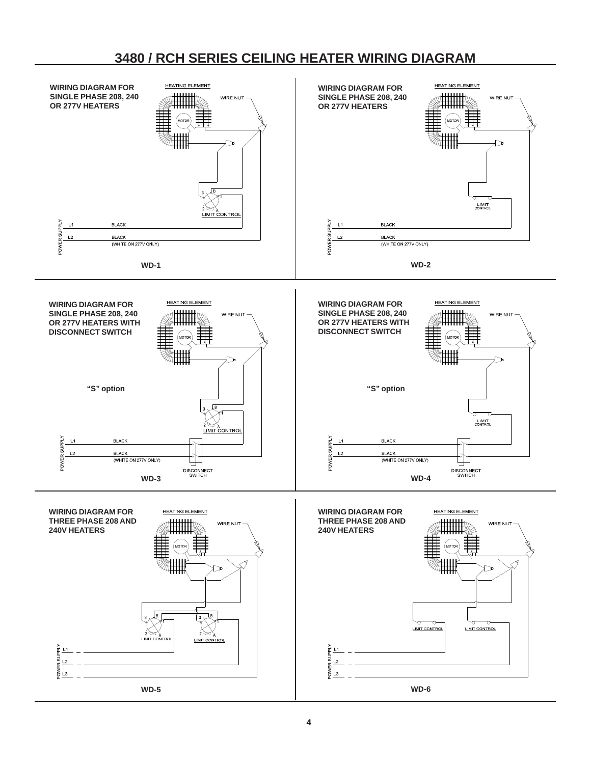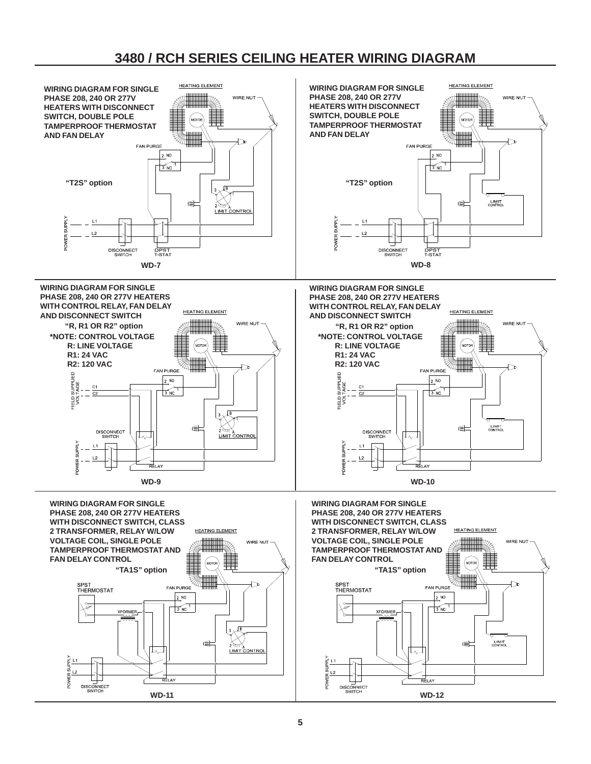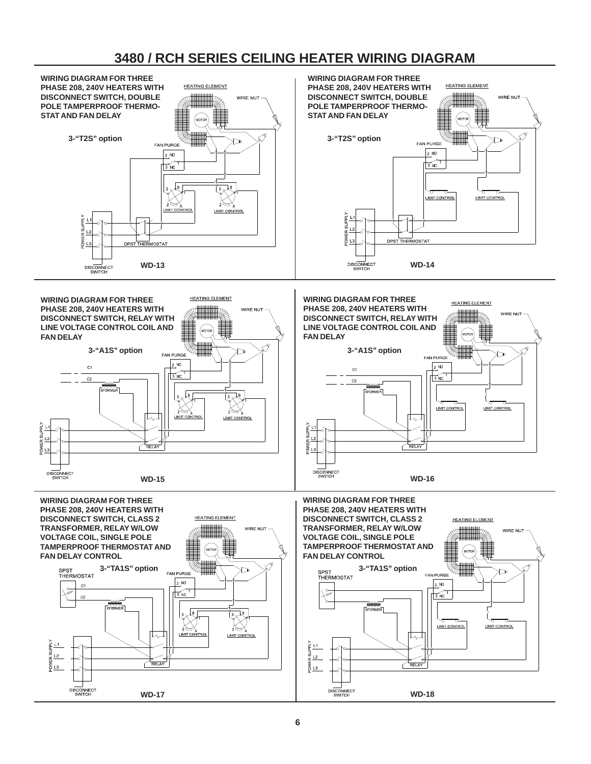